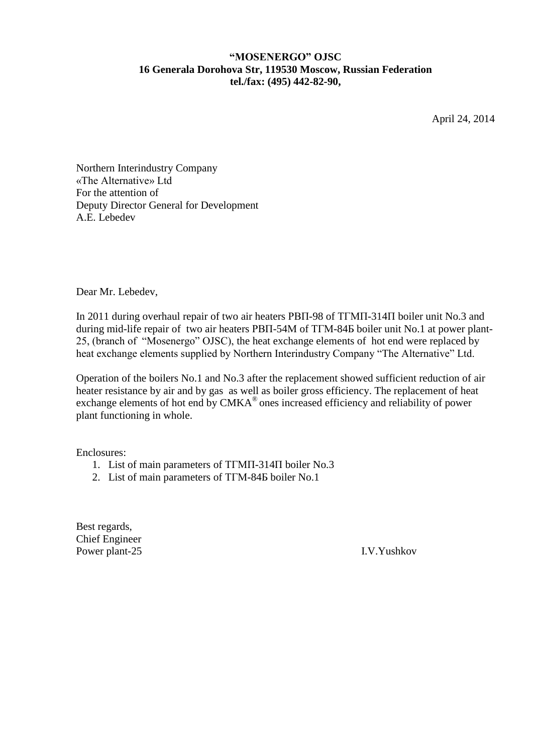## **"MOSENERGO" OJSC 16 Generala Dorohova Str, 119530 Moscow, Russian Federation tel./fax: (495) 442-82-90,**

April 24, 2014

Northern Interindustry Company «The Alternative» Ltd For the attention of Deputy Director General for Development A.E. Lebedev

Dear Mr. Lebedev,

In 2011 during overhaul repair of two air heaters РВП-98 of ТГМП-314П boiler unit No.3 and during mid-life repair of two air heaters РВП-54М of ТГМ-84Б boiler unit No.1 at power plant-25, (branch of "Mosenergo" OJSC), the heat exchange elements of hot end were replaced by heat exchange elements supplied by Northern Interindustry Company "The Alternative" Ltd.

Operation of the boilers No.1 and No.3 after the replacement showed sufficient reduction of air heater resistance by air and by gas as well as boiler gross efficiency. The replacement of heat exchange elements of hot end by CMKA<sup>®</sup> ones increased efficiency and reliability of power plant functioning in whole.

Enclosures:

- 1. List of main parameters of ТГМП-314П boiler No.3
- 2. List of main parameters of ТГМ-84Б boiler No.1

Best regards, Chief Engineer Power plant-25 I.V.Yushkov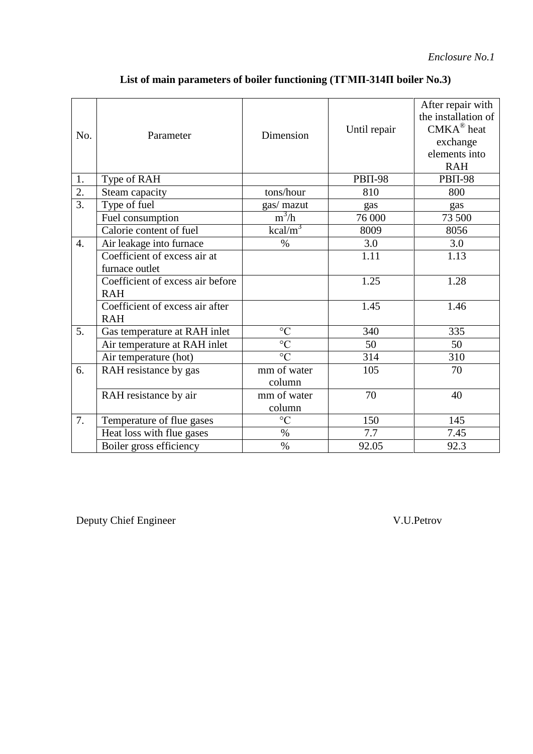| No.              | Parameter                                      | Dimension       | Until repair   | After repair with<br>the installation of<br>$CMKA^{\circledR}$ heat<br>exchange<br>elements into<br><b>RAH</b> |
|------------------|------------------------------------------------|-----------------|----------------|----------------------------------------------------------------------------------------------------------------|
| 1.               | Type of RAH                                    |                 | <b>PBII-98</b> | <b>PBII-98</b>                                                                                                 |
| 2.               | Steam capacity                                 | tons/hour       | 810            | 800                                                                                                            |
| $\overline{3}$ . | Type of fuel                                   | gas/ mazut      | gas            | gas                                                                                                            |
|                  | Fuel consumption                               | $m^3/h$         | 76 000         | 73 500                                                                                                         |
|                  | Calorie content of fuel                        | $kcal/m^3$      | 8009           | 8056                                                                                                           |
| $\overline{4}$ . | Air leakage into furnace                       | $\%$            | 3.0            | 3.0                                                                                                            |
|                  | Coefficient of excess air at                   |                 | 1.11           | 1.13                                                                                                           |
|                  | furnace outlet                                 |                 |                |                                                                                                                |
|                  | Coefficient of excess air before<br><b>RAH</b> |                 | 1.25           | 1.28                                                                                                           |
|                  | Coefficient of excess air after<br><b>RAH</b>  |                 | 1.45           | 1.46                                                                                                           |
| 5.               | Gas temperature at RAH inlet                   | $\rm ^{\circ}C$ | 340            | 335                                                                                                            |
|                  | Air temperature at RAH inlet                   | $\overline{C}$  | 50             | 50                                                                                                             |
|                  | Air temperature (hot)                          | $\rm ^{\circ}C$ | 314            | 310                                                                                                            |
| 6.               | RAH resistance by gas                          | mm of water     | 105            | 70                                                                                                             |
|                  |                                                | column          |                |                                                                                                                |
|                  | RAH resistance by air                          | mm of water     | 70             | 40                                                                                                             |
|                  |                                                | column          |                |                                                                                                                |
| 7.               | Temperature of flue gases                      | $\rm ^{\circ}C$ | 150            | 145                                                                                                            |
|                  | Heat loss with flue gases                      | $\%$            | 7.7            | 7.45                                                                                                           |
|                  | Boiler gross efficiency                        | $\%$            | 92.05          | 92.3                                                                                                           |

## **List of main parameters of boiler functioning (ТГМП-314П boiler No.3)**

Deputy Chief Engineer V.U.Petrov